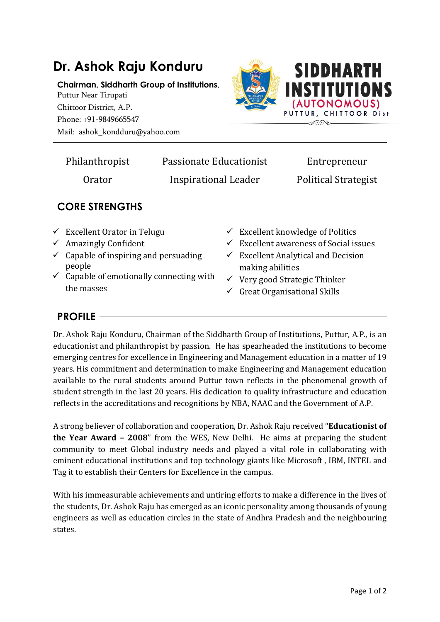

|                       | Philanthropist                                                                                                                            | Passionate Educationist |                                                                                                                                                                         |  | Entrepreneur                |  |  |
|-----------------------|-------------------------------------------------------------------------------------------------------------------------------------------|-------------------------|-------------------------------------------------------------------------------------------------------------------------------------------------------------------------|--|-----------------------------|--|--|
|                       | Orator                                                                                                                                    |                         | Inspirational Leader                                                                                                                                                    |  | <b>Political Strategist</b> |  |  |
| <b>CORE STRENGTHS</b> |                                                                                                                                           |                         |                                                                                                                                                                         |  |                             |  |  |
|                       | $\checkmark$ Excellent Orator in Telugu<br>$\checkmark$ Amazingly Confident<br>$\checkmark$ Capable of inspiring and persuading<br>people |                         | $\checkmark$ Excellent knowledge of Politics<br>$\checkmark$ Excellent awareness of Social issues<br>$\checkmark$ Excellent Analytical and Decision<br>making abilities |  |                             |  |  |

- $\checkmark$  Capable of emotionally connecting with the masses
- making abilities
- $\checkmark$  Very good Strategic Thinker
- $\checkmark$  Great Organisational Skills

## **PROFILE**

Dr. Ashok Raju Konduru, Chairman of the Siddharth Group of Institutions, Puttur, A.P., is an educationist and philanthropist by passion. He has spearheaded the institutions to become emerging centres for excellence in Engineering and Management education in a matter of 19 years. His commitment and determination to make Engineering and Management education available to the rural students around Puttur town reflects in the phenomenal growth of student strength in the last 20 years. His dedication to quality infrastructure and education reflects in the accreditations and recognitions by NBA, NAAC and the Government of A.P.

A strong believer of collaboration and cooperation, Dr. Ashok Raju received "**Educationist of the Year Award – 2008**" from the WES, New Delhi. He aims at preparing the student community to meet Global industry needs and played a vital role in collaborating with eminent educational institutions and top technology giants like Microsoft , IBM, INTEL and Tag it to establish their Centers for Excellence in the campus.

With his immeasurable achievements and untiring efforts to make a difference in the lives of the students, Dr. Ashok Raju has emerged as an iconic personality among thousands of young engineers as well as education circles in the state of Andhra Pradesh and the neighbouring states.